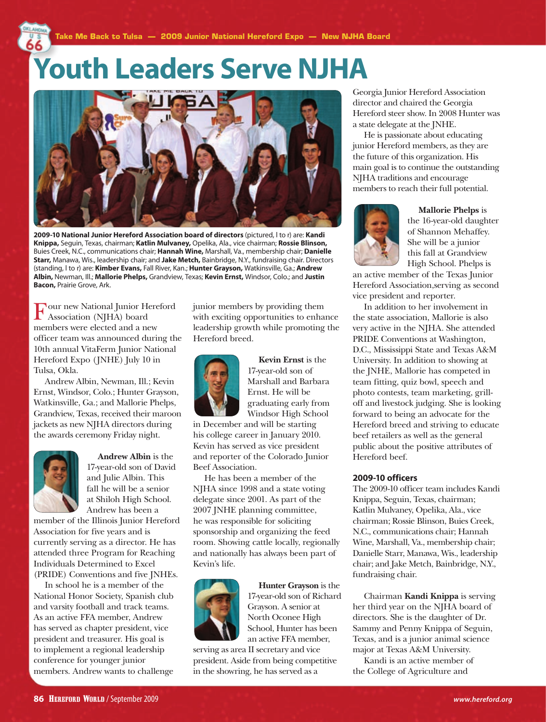## **Youth Leaders Serve NJHA**



**2009-10 National Junior Hereford Association board of directors** (pictured, l to r) are: **Kandi Knippa,** Seguin, Texas, chairman; **Katlin Mulvaney,** Opelika, Ala., vice chairman; **Rossie Blinson,**  Buies Creek, N.C., communications chair; **Hannah Wine,** Marshall, Va., membership chair; **Danielle Starr,** Manawa, Wis., leadership chair; and **Jake Metch,** Bainbridge, N.Y., fundraising chair. Directors (standing, l to r) are: **Kimber Evans,** Fall River, Kan.; **Hunter Grayson,** Watkinsville, Ga.; **Andrew Albin,** Newman, Ill.; **Mallorie Phelps,** Grandview, Texas; **Kevin Ernst,** Windsor, Colo.; and **Justin Bacon,** Prairie Grove, Ark.

Four new National Junior Hereford Association (NJHA) board members were elected and a new officer team was announced during the 10th annual VitaFerm Junior National Hereford Expo (JNHE) July 10 in Tulsa, Okla.

Andrew Albin, Newman, Ill.; Kevin Ernst, Windsor, Colo.; Hunter Grayson, Watkinsville, Ga.; and Mallorie Phelps, Grandview, Texas, received their maroon jackets as new NJHA directors during the awards ceremony Friday night.



**Andrew Albin** is the 17-year-old son of David and Julie Albin. This fall he will be a senior at Shiloh High School. Andrew has been a

member of the Illinois Junior Hereford Association for five years and is currently serving as a director. He has attended three Program for Reaching Individuals Determined to Excel (PRIDE) Conventions and five JNHEs.

In school he is a member of the National Honor Society, Spanish club and varsity football and track teams. As an active FFA member, Andrew has served as chapter president, vice president and treasurer. His goal is to implement a regional leadership conference for younger junior members. Andrew wants to challenge junior members by providing them with exciting opportunities to enhance leadership growth while promoting the Hereford breed.



**Kevin Ernst** is the 17-year-old son of Marshall and Barbara Ernst. He will be graduating early from Windsor High School

in December and will be starting his college career in January 2010. Kevin has served as vice president and reporter of the Colorado Junior Beef Association.

He has been a member of the NJHA since 1998 and a state voting delegate since 2001. As part of the 2007 JNHE planning committee, he was responsible for soliciting sponsorship and organizing the feed room. Showing cattle locally, regionally and nationally has always been part of Kevin's life.



**Hunter Grayson** is the 17-year-old son of Richard Grayson. A senior at North Oconee High School, Hunter has been an active FFA member,

serving as area II secretary and vice president. Aside from being competitive in the showring, he has served as a

Georgia Junior Hereford Association director and chaired the Georgia Hereford steer show. In 2008 Hunter was a state delegate at the JNHE.

He is passionate about educating junior Hereford members, as they are the future of this organization. His main goal is to continue the outstanding NJHA traditions and encourage members to reach their full potential.



**Mallorie Phelps** is the 16-year-old daughter of Shannon Mehaffey. She will be a junior this fall at Grandview High School. Phelps is

an active member of the Texas Junior Hereford Association,serving as second vice president and reporter.

In addition to her involvement in the state association, Mallorie is also very active in the NJHA. She attended PRIDE Conventions at Washington, D.C., Mississippi State and Texas A&M University. In addition to showing at the JNHE, Mallorie has competed in team fitting, quiz bowl, speech and photo contests, team marketing, grilloff and livestock judging. She is looking forward to being an advocate for the Hereford breed and striving to educate beef retailers as well as the general public about the positive attributes of Hereford beef.

## **2009-10 officers**

The 2009-10 officer team includes Kandi Knippa, Seguin, Texas, chairman; Katlin Mulvaney, Opelika, Ala., vice chairman; Rossie Blinson, Buies Creek, N.C., communications chair; Hannah Wine, Marshall, Va., membership chair; Danielle Starr, Manawa, Wis., leadership chair; and Jake Metch, Bainbridge, N.Y., fundraising chair.

Chairman **Kandi Knippa** is serving her third year on the NJHA board of directors. She is the daughter of Dr. Sammy and Penny Knippa of Seguin, Texas, and is a junior animal science major at Texas A&M University.

Kandi is an active member of the College of Agriculture and